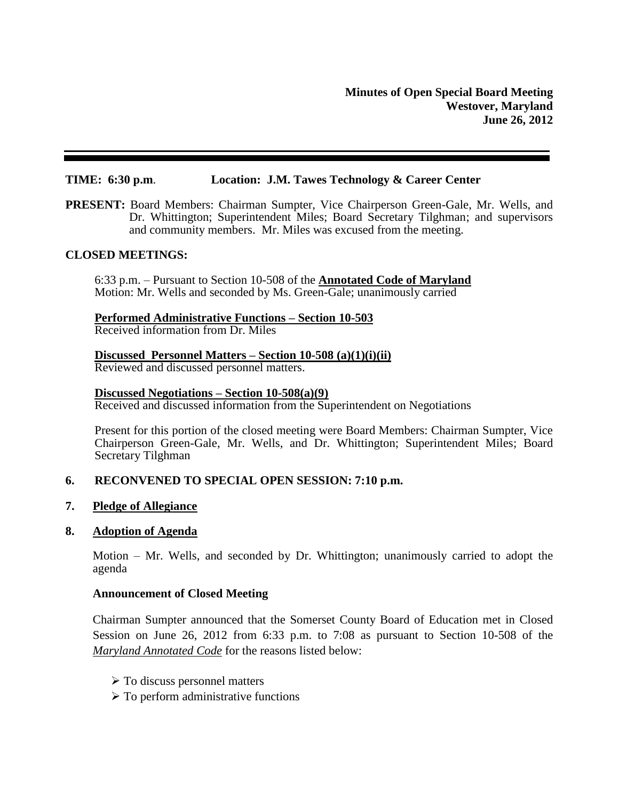#### **TIME: 6:30 p.m**. **Location: J.M. Tawes Technology & Career Center**

**PRESENT:** Board Members: Chairman Sumpter, Vice Chairperson Green-Gale, Mr. Wells, and Dr. Whittington; Superintendent Miles; Board Secretary Tilghman; and supervisors and community members. Mr. Miles was excused from the meeting.

#### **CLOSED MEETINGS:**

6:33 p.m. – Pursuant to Section 10-508 of the **Annotated Code of Maryland** Motion: Mr. Wells and seconded by Ms. Green-Gale; unanimously carried

## **Performed Administrative Functions – Section 10-503**

Received information from Dr. Miles

# **Discussed Personnel Matters – Section 10-508 (a)(1)(i)(ii)**

Reviewed and discussed personnel matters.

#### **Discussed Negotiations – Section 10-508(a)(9)**

Received and discussed information from the Superintendent on Negotiations

Present for this portion of the closed meeting were Board Members: Chairman Sumpter, Vice Chairperson Green-Gale, Mr. Wells, and Dr. Whittington; Superintendent Miles; Board Secretary Tilghman

## **6. RECONVENED TO SPECIAL OPEN SESSION: 7:10 p.m.**

## **7. Pledge of Allegiance**

#### **8. Adoption of Agenda**

Motion – Mr. Wells, and seconded by Dr. Whittington; unanimously carried to adopt the agenda

## **Announcement of Closed Meeting**

Chairman Sumpter announced that the Somerset County Board of Education met in Closed Session on June 26, 2012 from 6:33 p.m. to 7:08 as pursuant to Section 10-508 of the *Maryland Annotated Code* for the reasons listed below:

- $\triangleright$  To discuss personnel matters
- $\triangleright$  To perform administrative functions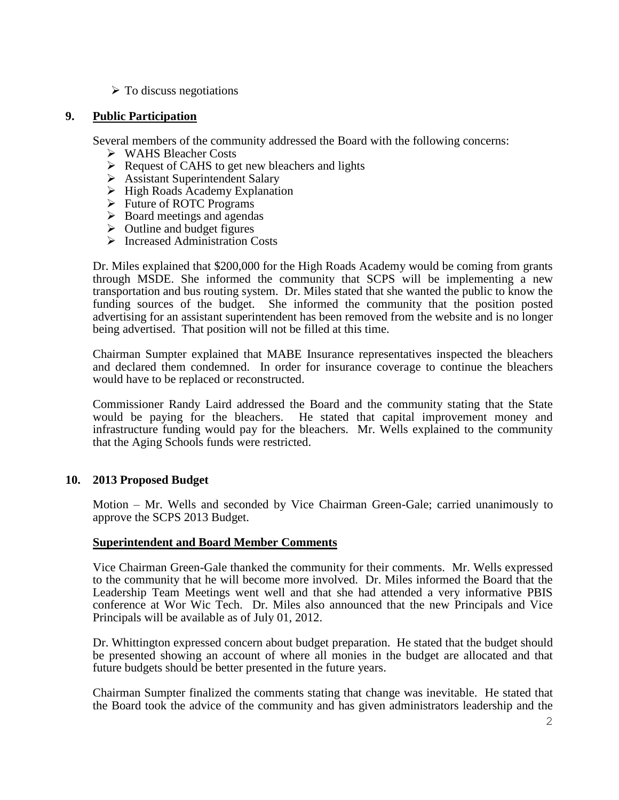$\triangleright$  To discuss negotiations

## **9. Public Participation**

Several members of the community addressed the Board with the following concerns:

- WAHS Bleacher Costs
- $\triangleright$  Request of CAHS to get new bleachers and lights
- Assistant Superintendent Salary
- $\triangleright$  High Roads Academy Explanation
- Future of ROTC Programs
- $\triangleright$  Board meetings and agendas
- $\triangleright$  Outline and budget figures
- > Increased Administration Costs

Dr. Miles explained that \$200,000 for the High Roads Academy would be coming from grants through MSDE. She informed the community that SCPS will be implementing a new transportation and bus routing system. Dr. Miles stated that she wanted the public to know the funding sources of the budget. She informed the community that the position posted advertising for an assistant superintendent has been removed from the website and is no longer being advertised. That position will not be filled at this time.

Chairman Sumpter explained that MABE Insurance representatives inspected the bleachers and declared them condemned. In order for insurance coverage to continue the bleachers would have to be replaced or reconstructed.

Commissioner Randy Laird addressed the Board and the community stating that the State would be paying for the bleachers. He stated that capital improvement money and infrastructure funding would pay for the bleachers. Mr. Wells explained to the community that the Aging Schools funds were restricted.

## **10. 2013 Proposed Budget**

Motion – Mr. Wells and seconded by Vice Chairman Green-Gale; carried unanimously to approve the SCPS 2013 Budget.

#### **Superintendent and Board Member Comments**

Vice Chairman Green-Gale thanked the community for their comments. Mr. Wells expressed to the community that he will become more involved. Dr. Miles informed the Board that the Leadership Team Meetings went well and that she had attended a very informative PBIS conference at Wor Wic Tech. Dr. Miles also announced that the new Principals and Vice Principals will be available as of July 01, 2012.

Dr. Whittington expressed concern about budget preparation. He stated that the budget should be presented showing an account of where all monies in the budget are allocated and that future budgets should be better presented in the future years.

Chairman Sumpter finalized the comments stating that change was inevitable. He stated that the Board took the advice of the community and has given administrators leadership and the